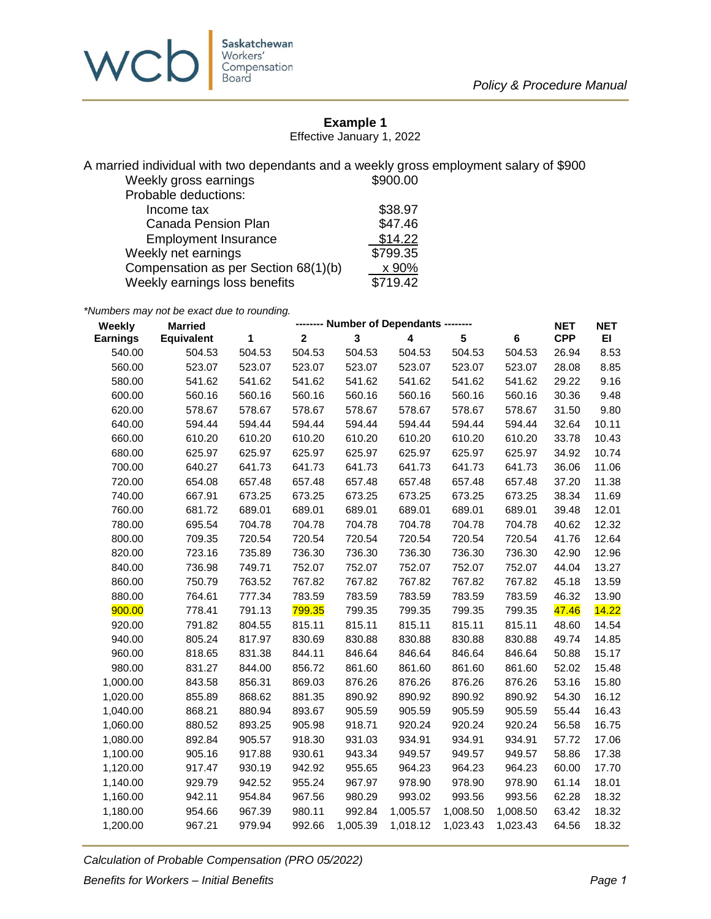

## **Example 1**

Effective January 1, 2022

A married individual with two dependants and a weekly gross employment salary of \$900 Weekly gross earnings

| Probable deductions:                 |          |
|--------------------------------------|----------|
| Income tax                           | \$38.97  |
| <b>Canada Pension Plan</b>           | \$47.46  |
| <b>Employment Insurance</b>          | \$14.22  |
| Weekly net earnings                  | \$799.35 |
| Compensation as per Section 68(1)(b) | x 90%    |
| Weekly earnings loss benefits        | \$719.42 |

*\*Numbers may not be exact due to rounding.*

| $\overline{\mathbf{2}}$<br>3<br>1<br>4<br>$5\phantom{.0}$<br>$6\phantom{a}$<br><b>Earnings</b><br>Equivalent<br>540.00<br>504.53<br>504.53<br>504.53<br>504.53<br>504.53<br>504.53<br>504.53<br>523.07<br>523.07<br>560.00<br>523.07<br>523.07<br>523.07<br>523.07<br>523.07<br>580.00<br>541.62<br>541.62<br>541.62<br>541.62<br>541.62<br>541.62<br>541.62<br>600.00<br>560.16<br>560.16<br>560.16<br>560.16<br>560.16<br>560.16<br>560.16<br>578.67<br>578.67<br>578.67<br>578.67<br>578.67<br>578.67<br>578.67<br>620.00<br>640.00<br>594.44<br>594.44<br>594.44<br>594.44<br>594.44<br>594.44<br>594.44<br>660.00<br>610.20<br>610.20<br>610.20<br>610.20<br>610.20<br>610.20<br>610.20<br>680.00<br>625.97<br>625.97<br>625.97<br>625.97<br>625.97<br>625.97<br>625.97 | <b>CPP</b><br>EI<br>26.94<br>8.53<br>8.85<br>28.08<br>9.16<br>29.22 |
|------------------------------------------------------------------------------------------------------------------------------------------------------------------------------------------------------------------------------------------------------------------------------------------------------------------------------------------------------------------------------------------------------------------------------------------------------------------------------------------------------------------------------------------------------------------------------------------------------------------------------------------------------------------------------------------------------------------------------------------------------------------------------|---------------------------------------------------------------------|
|                                                                                                                                                                                                                                                                                                                                                                                                                                                                                                                                                                                                                                                                                                                                                                              |                                                                     |
|                                                                                                                                                                                                                                                                                                                                                                                                                                                                                                                                                                                                                                                                                                                                                                              |                                                                     |
|                                                                                                                                                                                                                                                                                                                                                                                                                                                                                                                                                                                                                                                                                                                                                                              |                                                                     |
|                                                                                                                                                                                                                                                                                                                                                                                                                                                                                                                                                                                                                                                                                                                                                                              |                                                                     |
|                                                                                                                                                                                                                                                                                                                                                                                                                                                                                                                                                                                                                                                                                                                                                                              | 9.48<br>30.36                                                       |
|                                                                                                                                                                                                                                                                                                                                                                                                                                                                                                                                                                                                                                                                                                                                                                              | 9.80<br>31.50                                                       |
|                                                                                                                                                                                                                                                                                                                                                                                                                                                                                                                                                                                                                                                                                                                                                                              | 10.11<br>32.64                                                      |
|                                                                                                                                                                                                                                                                                                                                                                                                                                                                                                                                                                                                                                                                                                                                                                              | 10.43<br>33.78                                                      |
|                                                                                                                                                                                                                                                                                                                                                                                                                                                                                                                                                                                                                                                                                                                                                                              | 10.74<br>34.92                                                      |
| 700.00<br>640.27<br>641.73<br>641.73<br>641.73<br>641.73<br>641.73<br>641.73                                                                                                                                                                                                                                                                                                                                                                                                                                                                                                                                                                                                                                                                                                 | 36.06<br>11.06                                                      |
| 657.48<br>657.48<br>657.48<br>720.00<br>654.08<br>657.48<br>657.48<br>657.48                                                                                                                                                                                                                                                                                                                                                                                                                                                                                                                                                                                                                                                                                                 | 37.20<br>11.38                                                      |
| 740.00<br>667.91<br>673.25<br>673.25<br>673.25<br>673.25<br>673.25<br>673.25                                                                                                                                                                                                                                                                                                                                                                                                                                                                                                                                                                                                                                                                                                 | 11.69<br>38.34                                                      |
| 760.00<br>681.72<br>689.01<br>689.01<br>689.01<br>689.01<br>689.01<br>689.01                                                                                                                                                                                                                                                                                                                                                                                                                                                                                                                                                                                                                                                                                                 | 39.48<br>12.01                                                      |
| 695.54<br>704.78<br>704.78<br>704.78<br>704.78<br>704.78<br>704.78<br>780.00                                                                                                                                                                                                                                                                                                                                                                                                                                                                                                                                                                                                                                                                                                 | 40.62<br>12.32                                                      |
| 709.35<br>720.54<br>720.54<br>720.54<br>720.54<br>720.54<br>800.00<br>720.54                                                                                                                                                                                                                                                                                                                                                                                                                                                                                                                                                                                                                                                                                                 | 41.76<br>12.64                                                      |
| 723.16<br>736.30<br>736.30<br>736.30<br>820.00<br>735.89<br>736.30<br>736.30                                                                                                                                                                                                                                                                                                                                                                                                                                                                                                                                                                                                                                                                                                 | 42.90<br>12.96                                                      |
| 840.00<br>736.98<br>749.71<br>752.07<br>752.07<br>752.07<br>752.07<br>752.07                                                                                                                                                                                                                                                                                                                                                                                                                                                                                                                                                                                                                                                                                                 | 13.27<br>44.04                                                      |
| 860.00<br>750.79<br>763.52<br>767.82<br>767.82<br>767.82<br>767.82<br>767.82                                                                                                                                                                                                                                                                                                                                                                                                                                                                                                                                                                                                                                                                                                 | 45.18<br>13.59                                                      |
| 880.00<br>777.34<br>783.59<br>783.59<br>783.59<br>783.59<br>764.61<br>783.59                                                                                                                                                                                                                                                                                                                                                                                                                                                                                                                                                                                                                                                                                                 | 46.32<br>13.90                                                      |
| 799.35<br>900.00<br>778.41<br>791.13<br>799.35<br>799.35<br>799.35<br>799.35                                                                                                                                                                                                                                                                                                                                                                                                                                                                                                                                                                                                                                                                                                 | 14.22<br>47.46                                                      |
| 815.11<br>920.00<br>791.82<br>804.55<br>815.11<br>815.11<br>815.11<br>815.11                                                                                                                                                                                                                                                                                                                                                                                                                                                                                                                                                                                                                                                                                                 | 48.60<br>14.54                                                      |
| 940.00<br>805.24<br>817.97<br>830.69<br>830.88<br>830.88<br>830.88<br>830.88                                                                                                                                                                                                                                                                                                                                                                                                                                                                                                                                                                                                                                                                                                 | 49.74<br>14.85                                                      |
| 960.00<br>818.65<br>831.38<br>844.11<br>846.64<br>846.64<br>846.64<br>846.64                                                                                                                                                                                                                                                                                                                                                                                                                                                                                                                                                                                                                                                                                                 | 50.88<br>15.17                                                      |
| 980.00<br>856.72<br>861.60<br>861.60<br>861.60<br>831.27<br>844.00<br>861.60                                                                                                                                                                                                                                                                                                                                                                                                                                                                                                                                                                                                                                                                                                 | 52.02<br>15.48                                                      |
| 1,000.00<br>843.58<br>869.03<br>876.26<br>856.31<br>876.26<br>876.26<br>876.26                                                                                                                                                                                                                                                                                                                                                                                                                                                                                                                                                                                                                                                                                               | 53.16<br>15.80                                                      |
| 890.92<br>1,020.00<br>855.89<br>868.62<br>881.35<br>890.92<br>890.92<br>890.92                                                                                                                                                                                                                                                                                                                                                                                                                                                                                                                                                                                                                                                                                               | 54.30<br>16.12                                                      |
| 1,040.00<br>868.21<br>893.67<br>905.59<br>905.59<br>905.59<br>905.59<br>880.94                                                                                                                                                                                                                                                                                                                                                                                                                                                                                                                                                                                                                                                                                               | 55.44<br>16.43                                                      |
| 1,060.00<br>880.52<br>905.98<br>918.71<br>920.24<br>920.24<br>893.25<br>920.24                                                                                                                                                                                                                                                                                                                                                                                                                                                                                                                                                                                                                                                                                               | 56.58<br>16.75                                                      |
| 1,080.00<br>892.84<br>918.30<br>931.03<br>934.91<br>934.91<br>905.57<br>934.91                                                                                                                                                                                                                                                                                                                                                                                                                                                                                                                                                                                                                                                                                               | 57.72<br>17.06                                                      |
| 1,100.00<br>943.34<br>949.57<br>905.16<br>917.88<br>930.61<br>949.57<br>949.57                                                                                                                                                                                                                                                                                                                                                                                                                                                                                                                                                                                                                                                                                               | 17.38<br>58.86                                                      |
| 1,120.00<br>917.47<br>930.19<br>942.92<br>955.65<br>964.23<br>964.23<br>964.23                                                                                                                                                                                                                                                                                                                                                                                                                                                                                                                                                                                                                                                                                               | 60.00<br>17.70                                                      |
| 1,140.00<br>929.79<br>942.52<br>955.24<br>967.97<br>978.90<br>978.90<br>978.90                                                                                                                                                                                                                                                                                                                                                                                                                                                                                                                                                                                                                                                                                               | 61.14<br>18.01                                                      |
| 1,160.00<br>942.11<br>967.56<br>980.29<br>993.02<br>993.56<br>993.56<br>954.84                                                                                                                                                                                                                                                                                                                                                                                                                                                                                                                                                                                                                                                                                               | 62.28<br>18.32                                                      |
| 967.39<br>992.84<br>1,180.00<br>954.66<br>980.11<br>1,005.57<br>1,008.50<br>1,008.50                                                                                                                                                                                                                                                                                                                                                                                                                                                                                                                                                                                                                                                                                         | 63.42<br>18.32                                                      |
| 1,200.00<br>967.21<br>979.94<br>992.66<br>1,005.39<br>1,018.12<br>1,023.43<br>1,023.43                                                                                                                                                                                                                                                                                                                                                                                                                                                                                                                                                                                                                                                                                       | 64.56<br>18.32                                                      |

*Calculation of Probable Compensation (PRO 05/2022)*